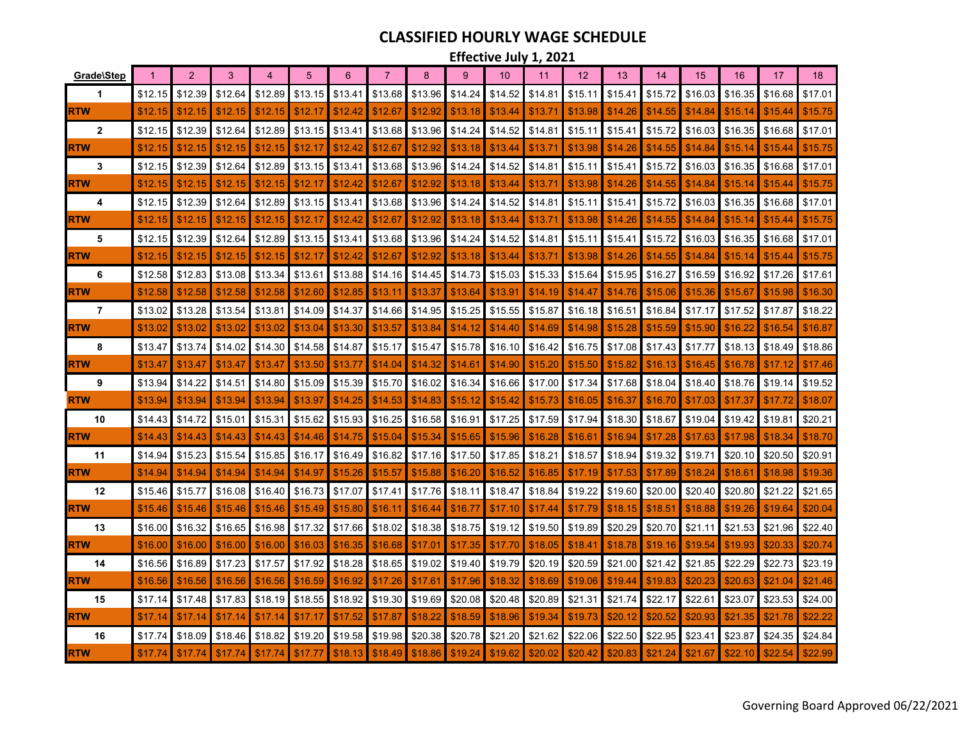## **CLASSIFIED HOURLY WAGE SCHEDULE**

**Effective July 1, 2021** 

| Grade\Step     |         | 2       | 3       |         | 5       | 6       | $\overline{7}$ | 8               | $\mathbf{Q}$ | 10      | 11      | 12      | 13      | 14      | 15      | 16      | 17      | 18      |
|----------------|---------|---------|---------|---------|---------|---------|----------------|-----------------|--------------|---------|---------|---------|---------|---------|---------|---------|---------|---------|
| 1              | \$12.15 | \$12.39 | \$12.64 | \$12.89 | \$13.15 | \$13.41 | \$13.68        | \$13.96         | \$14.24      | \$14.52 | \$14.81 | \$15.11 | \$15.41 | \$15.72 | \$16.03 | \$16.35 | \$16.68 | \$17.01 |
| <b>RTW</b>     | \$12.15 | \$12.15 | \$12.15 | \$12.15 | \$12.17 | \$12.42 | \$12.67        | \$12.92         | \$13.18      | \$13.44 | \$13.71 | \$13.98 | \$14.26 | \$14.55 | \$14.84 | \$15.14 | \$15.44 | \$15.75 |
| $\overline{2}$ | \$12.15 | \$12.39 | \$12.64 | \$12.89 | \$13.15 | \$13.41 | \$13.68        | \$13.96         | \$14.24      | \$14.52 | \$14.81 | \$15.11 | \$15.41 | \$15.72 | \$16.03 | \$16.35 | \$16.68 | \$17.01 |
| <b>RTW</b>     | \$12.15 | \$12.15 | \$12.15 | \$12.15 | \$12.17 | \$12.42 | \$12.67        | \$12.92         | \$13.18      | \$13.44 | \$13.7  | \$13.98 | \$14.26 | \$14.55 | \$14.84 | \$15.14 | \$15.44 | \$15.75 |
| 3              | \$12.15 | \$12.39 | \$12.64 | \$12.89 | \$13.15 | \$13.41 | \$13.68        | \$13.96         | \$14.24      | \$14.52 | \$14.81 | \$15.11 | \$15.41 | \$15.72 | \$16.03 | \$16.35 | \$16.68 | \$17.01 |
| <b>RTW</b>     | \$12.15 | \$12.15 | \$12.15 | \$12.15 | \$12.17 | \$12.42 | \$12.67        | \$12.92         | \$13.18      | \$13.44 | \$13.71 | \$13.98 | \$14.26 | \$14.55 | \$14.84 | \$15.14 | \$15.44 | \$15.75 |
| 4              | \$12.15 | \$12.39 | \$12.64 | \$12.89 | \$13.15 | \$13.41 | \$13.68        | \$13.96         | \$14.24      | \$14.52 | \$14.81 | \$15.11 | \$15.41 | \$15.72 | \$16.03 | \$16.35 | \$16.68 | \$17.01 |
| <b>RTW</b>     | \$12.15 | \$12.15 | \$12.15 | \$12.15 | \$12.17 | \$12.42 | \$12.67        | \$12.92         | \$13.18      | \$13.44 | \$13.7' | \$13.98 | \$14.26 | \$14.55 | \$14.84 | \$15.14 | \$15.44 | \$15.75 |
| 5              | \$12.15 | \$12.39 | \$12.64 | \$12.89 | \$13.15 | \$13.41 | \$13.68        | \$13.96         | \$14.24      | \$14.52 | \$14.81 | \$15.11 | \$15.41 | \$15.72 | \$16.03 | \$16.35 | \$16.68 | \$17.01 |
| RTW            | \$12.15 | \$12.15 | \$12.15 | \$12.15 | \$12.17 | \$12.42 | \$12.67        | \$12.92         | \$13.18      | \$13.44 | \$13.71 | \$13.98 | \$14.26 | \$14.55 | \$14.84 | \$15.14 | \$15.44 | \$15.75 |
| 6              | \$12.58 | \$12.83 | \$13.08 | \$13.34 | \$13.61 | \$13.88 | \$14.16        | \$14.45         | \$14.73      | \$15.03 | \$15.33 | \$15.64 | \$15.95 | \$16.27 | \$16.59 | \$16.92 | \$17.26 | \$17.61 |
| <b>RTW</b>     | \$12.58 | \$12.58 | \$12.58 | \$12.58 | \$12.60 | \$12.85 | \$13.11        | \$13.37         | \$13.64      | \$13.91 | \$14.19 | \$14.47 | \$14.76 | \$15.06 | \$15.36 | \$15.67 | \$15.98 | \$16.30 |
| $\overline{7}$ | \$13.02 | \$13.28 | \$13.54 | \$13.81 | \$14.09 | \$14.37 | \$14.66        | \$14.95         | \$15.25      | \$15.55 | \$15.87 | \$16.18 | \$16.51 | \$16.84 | \$17.17 | \$17.52 | \$17.87 | \$18.22 |
| <b>RTW</b>     | \$13.02 | \$13.02 | \$13.02 | \$13.02 | \$13.04 | \$13.30 | \$13.57        | \$13.84         | \$14.12      | \$14.40 | \$14.69 | \$14.98 | \$15.28 | \$15.59 | \$15.90 | \$16.22 | \$16.54 | \$16.87 |
| 8              | \$13.47 | \$13.74 | \$14.02 | \$14.30 | \$14.58 | \$14.87 | \$15.17        | \$15.47         | \$15.78      | \$16.10 | \$16.42 | \$16.75 | \$17.08 | \$17.43 | \$17.77 | \$18.13 | \$18.49 | \$18.86 |
| <b>RTW</b>     | \$13.47 | \$13.47 | \$13.47 | \$13.47 | \$13.50 | \$13.77 | \$14.04        | \$14.32         | \$14.61      | \$14.90 | \$15.20 | \$15.50 | \$15.82 | \$16.13 | \$16.45 | \$16.78 | \$17.12 | \$17.46 |
| 9              | \$13.94 | \$14.22 | \$14.51 | \$14.80 | \$15.09 | \$15.39 | \$15.70        | \$16.02         | \$16.34      | \$16.66 | \$17.00 | \$17.34 | \$17.68 | \$18.04 | \$18.40 | \$18.76 | \$19.14 | \$19.52 |
| <b>RTW</b>     | \$13.94 | \$13.94 | \$13.94 | \$13.94 | \$13.97 | \$14.25 | \$14.53        | \$14.83         | \$15.12      | \$15.42 | \$15.73 | \$16.05 | \$16.37 | \$16.70 | \$17.03 | \$17.37 | \$17.72 | \$18.07 |
| 10             | \$14.43 | \$14.72 | \$15.01 | \$15.31 | \$15.62 | \$15.93 | \$16.25        | \$16.58         | \$16.91      | \$17.25 | \$17.59 | \$17.94 | \$18.30 | \$18.67 | \$19.04 | \$19.42 | \$19.81 | \$20.21 |
| <b>RTW</b>     | \$14.43 | \$14.43 | \$14.43 | \$14.43 | \$14.46 | \$14.75 | \$15.04        | \$15.34         | \$15.65      | \$15.96 | \$16.28 | \$16.61 | \$16.94 | \$17.28 | \$17.63 | \$17.98 | \$18.34 | \$18.70 |
| 11             | \$14.94 | \$15.23 | \$15.54 | \$15.85 | \$16.17 | \$16.49 | \$16.82        | \$17.16         | \$17.50      | \$17.85 | \$18.21 | \$18.57 | \$18.94 | \$19.32 | \$19.71 | \$20.10 | \$20.50 | \$20.91 |
| <b>RTW</b>     | \$14.94 | \$14.94 | \$14.94 | \$14.94 | \$14.97 | \$15.26 | \$15.57        | \$15.88         | \$16.20      | \$16.52 | \$16.85 | \$17.19 | \$17.53 | \$17.89 | \$18.24 | \$18.61 | \$18.98 | \$19.36 |
| 12             | \$15.46 | \$15.77 | \$16.08 | \$16.40 | \$16.73 | \$17.07 | \$17.41        | \$17.76         | \$18.11      | \$18.47 | \$18.84 | \$19.22 | \$19.60 | \$20.00 | \$20.40 | \$20.80 | \$21.22 | \$21.65 |
| <b>RTW</b>     | \$15.46 | \$15.46 | \$15.46 | \$15.46 | \$15.49 | \$15.80 | \$16.11        | \$16.44         | \$16.77      | \$17.10 | \$17.44 | \$17.79 | \$18.15 | \$18.51 | \$18.88 | \$19.26 | \$19.64 | \$20.04 |
| 13             | \$16.00 | \$16.32 | \$16.65 | \$16.98 | \$17.32 | \$17.66 | \$18.02        | \$18.38         | \$18.75      | \$19.12 | \$19.50 | \$19.89 | \$20.29 | \$20.70 | \$21.11 | \$21.53 | \$21.96 | \$22.40 |
| <b>RTW</b>     | \$16.00 | \$16.00 | \$16.00 | \$16.00 | \$16.03 | \$16.35 | \$16.68        | $$17.0^{\circ}$ | \$17.35      | \$17.70 | \$18.05 | \$18.41 | \$18.78 | \$19.16 | \$19.54 | \$19.93 | \$20.33 | \$20.74 |
| 14             | \$16.56 | \$16.89 | \$17.23 | \$17.57 | \$17.92 | \$18.28 | \$18.65        | \$19.02         | \$19.40      | \$19.79 | \$20.19 | \$20.59 | \$21.00 | \$21.42 | \$21.85 | \$22.29 | \$22.73 | \$23.19 |
| RTW            | \$16.56 | \$16.56 | \$16.56 | \$16.56 | \$16.59 | \$16.92 | \$17.26        | $$17.6^{\circ}$ | \$17.96      | \$18.32 | \$18.69 | \$19.06 | \$19.44 | \$19.83 | \$20.23 | \$20.63 | \$21.04 | \$21.46 |
| 15             | \$17.14 | \$17.48 | \$17.83 | \$18.19 | \$18.55 | \$18.92 | \$19.30        | \$19.69         | \$20.08      | \$20.48 | \$20.89 | \$21.31 | \$21.74 | \$22.17 | \$22.61 | \$23.07 | \$23.53 | \$24.00 |
| <b>RTW</b>     | \$17.14 | \$17.14 | \$17.14 | \$17.14 | \$17.17 | \$17.52 | \$17.87        | \$18.22         | \$18.59      | \$18.96 | \$19.34 | \$19.73 | \$20.12 | \$20.52 | \$20.93 | \$21.35 | \$21.78 | \$22.22 |
| 16             | \$17.74 | \$18.09 | \$18.46 | \$18.82 | \$19.20 | \$19.58 | \$19.98        | \$20.38         | \$20.78      | \$21.20 | \$21.62 | \$22.06 | \$22.50 | \$22.95 | \$23.41 | \$23.87 | \$24.35 | \$24.84 |
| <b>RTW</b>     | \$17.74 | \$17.74 | \$17.74 | \$17.74 | \$17.77 | \$18.13 | \$18.49        | \$18.86         | \$19.24      | \$19.62 | \$20.02 | \$20.42 | \$20.83 | \$21.24 | \$21.67 | \$22.10 | \$22.54 | \$22.99 |